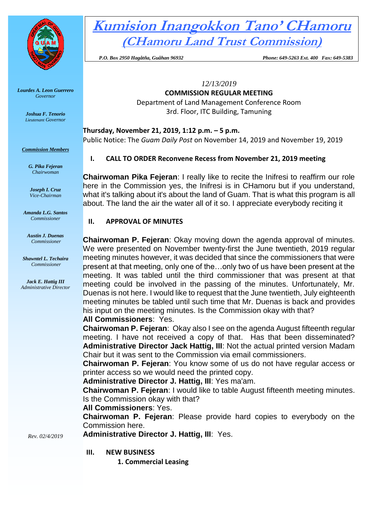

*Lourdes A. Leon Guerrero Governor* 

> *Joshua F. Tenorio Lieutenant Governor*

*Commission Members*

*G. Pika Fejeran Chairwoman*

*Joseph I. Cruz Vice-Chairman*

*Amanda L.G. Santos Commissioner*

*Austin J. Duenas Commissioner*

*Shawntel L. Techaira Commissioner*

*Jack E. Hattig III Administrative Director*

# **Kumision Inangokkon Tano' CHamoru (CHamoru Land Trust Commission)**

 *P.O. Box 2950 Hagåtña, Guåhan 96932 Phone: 649-5263 Ext. 400 Fax: 649-5383*

*12/13/2019*

**COMMISSION REGULAR MEETING** Department of Land Management Conference Room

3rd. Floor, ITC Building, Tamuning

## **Thursday, November 21, 2019, 1:12 p.m. – 5 p.m.**

Public Notice: The *Guam Daily Post* on November 14, 2019 and November 19, 2019

# **I. CALL TO ORDER Reconvene Recess from November 21, 2019 meeting**

**Chairwoman Pika Fejeran**: I really like to recite the Inifresi to reaffirm our role here in the Commission yes, the Inifresi is in CHamoru but if you understand, what it's talking about it's about the land of Guam. That is what this program is all about. The land the air the water all of it so. I appreciate everybody reciting it

## **II. APPROVAL OF MINUTES**

**Chairwoman P. Fejeran**: Okay moving down the agenda approval of minutes. We were presented on November twenty-first the June twentieth, 2019 regular meeting minutes however, it was decided that since the commissioners that were present at that meeting, only one of the…only two of us have been present at the meeting. It was tabled until the third commissioner that was present at that meeting could be involved in the passing of the minutes. Unfortunately, Mr. Duenas is not here. I would like to request that the June twentieth, July eighteenth meeting minutes be tabled until such time that Mr. Duenas is back and provides his input on the meeting minutes. Is the Commission okay with that?

# **All Commissioners**: Yes.

**Chairwoman P. Fejeran**: Okay also I see on the agenda August fifteenth regular meeting. I have not received a copy of that. Has that been disseminated? **Administrative Director Jack Hattig, III**: Not the actual printed version Madam Chair but it was sent to the Commission via email commissioners.

**Chairwoman P. Fejeran**: You know some of us do not have regular access or printer access so we would need the printed copy.

**Administrative Director J. Hattig, III**: Yes ma'am.

**Chairwoman P. Fejeran**: I would like to table August fifteenth meeting minutes. Is the Commission okay with that?

# **All Commissioners**: Yes.

**Chairwoman P. Fejeran**: Please provide hard copies to everybody on the Commission here.

*Rev. 02/4/2019*

- **III. NEW BUSINESS**
	- **1. Commercial Leasing**

**Administrative Director J. Hattig, III**: Yes.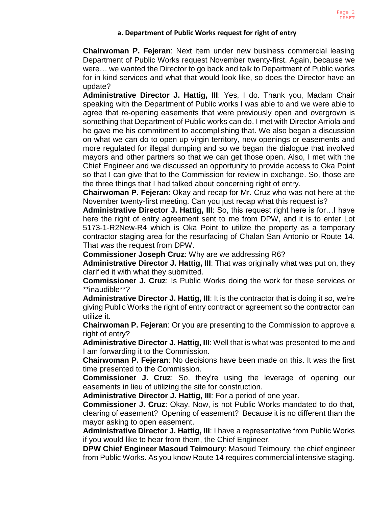#### **a. Department of Public Works request for right of entry**

**Chairwoman P. Fejeran**: Next item under new business commercial leasing Department of Public Works request November twenty-first. Again, because we were… we wanted the Director to go back and talk to Department of Public works for in kind services and what that would look like, so does the Director have an update?

**Administrative Director J. Hattig, III**: Yes, I do. Thank you, Madam Chair speaking with the Department of Public works I was able to and we were able to agree that re-opening easements that were previously open and overgrown is something that Department of Public works can do. I met with Director Arriola and he gave me his commitment to accomplishing that. We also began a discussion on what we can do to open up virgin territory, new openings or easements and more regulated for illegal dumping and so we began the dialogue that involved mayors and other partners so that we can get those open. Also, I met with the Chief Engineer and we discussed an opportunity to provide access to Oka Point so that I can give that to the Commission for review in exchange. So, those are the three things that I had talked about concerning right of entry.

**Chairwoman P. Fejeran**: Okay and recap for Mr. Cruz who was not here at the November twenty-first meeting. Can you just recap what this request is?

**Administrative Director J. Hattig, III**: So, this request right here is for…I have here the right of entry agreement sent to me from DPW, and it is to enter Lot 5173-1-R2New-R4 which is Oka Point to utilize the property as a temporary contractor staging area for the resurfacing of Chalan San Antonio or Route 14. That was the request from DPW.

**Commissioner Joseph Cruz**: Why are we addressing R6?

**Administrative Director J. Hattig, III**: That was originally what was put on, they clarified it with what they submitted.

**Commissioner J. Cruz**: Is Public Works doing the work for these services or \*\*inaudible\*\*?

**Administrative Director J. Hattig, III**: It is the contractor that is doing it so, we're giving Public Works the right of entry contract or agreement so the contractor can utilize it.

**Chairwoman P. Fejeran**: Or you are presenting to the Commission to approve a right of entry?

**Administrative Director J. Hattig, III**: Well that is what was presented to me and I am forwarding it to the Commission.

**Chairwoman P. Fejeran**: No decisions have been made on this. It was the first time presented to the Commission.

**Commissioner J. Cruz**: So, they're using the leverage of opening our easements in lieu of utilizing the site for construction.

**Administrative Director J. Hattig, III**: For a period of one year.

**Commissioner J. Cruz**: Okay. Now, is not Public Works mandated to do that, clearing of easement? Opening of easement? Because it is no different than the mayor asking to open easement.

**Administrative Director J. Hattig, III**: I have a representative from Public Works if you would like to hear from them, the Chief Engineer.

**DPW Chief Engineer Masoud Teimoury**: Masoud Teimoury, the chief engineer from Public Works. As you know Route 14 requires commercial intensive staging.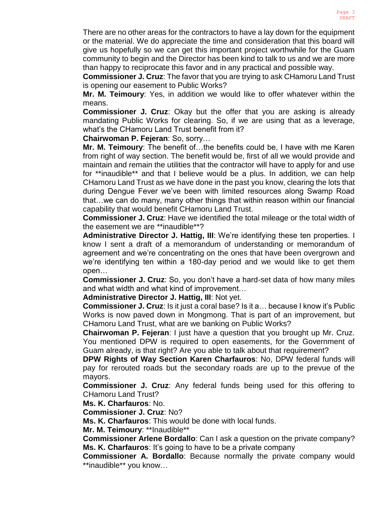There are no other areas for the contractors to have a lay down for the equipment or the material. We do appreciate the time and consideration that this board will give us hopefully so we can get this important project worthwhile for the Guam community to begin and the Director has been kind to talk to us and we are more than happy to reciprocate this favor and in any practical and possible way.

**Commissioner J. Cruz**: The favor that you are trying to ask CHamoru Land Trust is opening our easement to Public Works?

**Mr. M. Teimoury**: Yes, in addition we would like to offer whatever within the means.

**Commissioner J. Cruz**: Okay but the offer that you are asking is already mandating Public Works for clearing. So, if we are using that as a leverage, what's the CHamoru Land Trust benefit from it?

**Chairwoman P. Fejeran**: So, sorry…

**Mr. M. Teimoury**: The benefit of…the benefits could be, I have with me Karen from right of way section. The benefit would be, first of all we would provide and maintain and remain the utilities that the contractor will have to apply for and use for \*\*inaudible\*\* and that I believe would be a plus. In addition, we can help CHamoru Land Trust as we have done in the past you know, clearing the lots that during Dengue Fever we've been with limited resources along Swamp Road that…we can do many, many other things that within reason within our financial capability that would benefit CHamoru Land Trust.

**Commissioner J. Cruz**: Have we identified the total mileage or the total width of the easement we are \*\*inaudible\*\*?

**Administrative Director J. Hattig, III**: We're identifying these ten properties. I know I sent a draft of a memorandum of understanding or memorandum of agreement and we're concentrating on the ones that have been overgrown and we're identifying ten within a 180-day period and we would like to get them open…

**Commissioner J. Cruz**: So, you don't have a hard-set data of how many miles and what width and what kind of improvement…

**Administrative Director J. Hattig, III**: Not yet.

**Commissioner J. Cruz**: Is it just a coral base? Is it a… because I know it's Public Works is now paved down in Mongmong. That is part of an improvement, but CHamoru Land Trust, what are we banking on Public Works?

**Chairwoman P. Fejeran**: I just have a question that you brought up Mr. Cruz. You mentioned DPW is required to open easements, for the Government of Guam already, is that right? Are you able to talk about that requirement?

**DPW Rights of Way Section Karen Charfauros**: No, DPW federal funds will pay for rerouted roads but the secondary roads are up to the prevue of the mayors.

**Commissioner J. Cruz**: Any federal funds being used for this offering to CHamoru Land Trust?

**Ms. K. Charfauros**: No.

**Commissioner J. Cruz**: No?

**Ms. K. Charfauros**: This would be done with local funds.

**Mr. M. Teimoury**: \*\*Inaudible\*\*

**Commissioner Arlene Bordallo**: Can I ask a question on the private company? **Ms. K. Charfauros**: It's going to have to be a private company

**Commissioner A. Bordallo**: Because normally the private company would \*\*inaudible\*\* you know…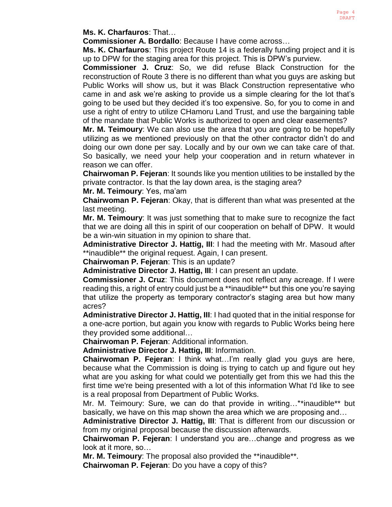**Ms. K. Charfauros**: That…

**Commissioner A. Bordallo**: Because I have come across…

**Ms. K. Charfauros**: This project Route 14 is a federally funding project and it is up to DPW for the staging area for this project. This is DPW's purview.

**Commissioner J. Cruz**: So, we did refuse Black Construction for the reconstruction of Route 3 there is no different than what you guys are asking but Public Works will show us, but it was Black Construction representative who came in and ask we're asking to provide us a simple clearing for the lot that's going to be used but they decided it's too expensive. So, for you to come in and use a right of entry to utilize CHamoru Land Trust, and use the bargaining table of the mandate that Public Works is authorized to open and clear easements?

**Mr. M. Teimoury**: We can also use the area that you are going to be hopefully utilizing as we mentioned previously on that the other contractor didn't do and doing our own done per say. Locally and by our own we can take care of that. So basically, we need your help your cooperation and in return whatever in reason we can offer.

**Chairwoman P. Fejeran**: It sounds like you mention utilities to be installed by the private contractor. Is that the lay down area, is the staging area?

**Mr. M. Teimoury**: Yes, ma'am

**Chairwoman P. Fejeran**: Okay, that is different than what was presented at the last meeting.

**Mr. M. Teimoury**: It was just something that to make sure to recognize the fact that we are doing all this in spirit of our cooperation on behalf of DPW. It would be a win-win situation in my opinion to share that.

**Administrative Director J. Hattig, III**: I had the meeting with Mr. Masoud after \*\*inaudible\*\* the original request. Again, I can present.

**Chairwoman P. Fejeran**: This is an update?

**Administrative Director J. Hattig, III**: I can present an update.

**Commissioner J. Cruz**: This document does not reflect any acreage. If I were reading this, a right of entry could just be a \*\*inaudible\*\* but this one you're saying that utilize the property as temporary contractor's staging area but how many acres?

**Administrative Director J. Hattig, III**: I had quoted that in the initial response for a one-acre portion, but again you know with regards to Public Works being here they provided some additional…

**Chairwoman P. Fejeran**: Additional information.

**Administrative Director J. Hattig, III**: Information.

**Chairwoman P. Fejeran**: I think what…I'm really glad you guys are here, because what the Commission is doing is trying to catch up and figure out hey what are you asking for what could we potentially get from this we had this the first time we're being presented with a lot of this information What I'd like to see is a real proposal from Department of Public Works.

Mr. M. Teimoury: Sure, we can do that provide in writing…\*\*inaudible\*\* but basically, we have on this map shown the area which we are proposing and…

**Administrative Director J. Hattig, III**: That is different from our discussion or from my original proposal because the discussion afterwards.

**Chairwoman P. Fejeran**: I understand you are…change and progress as we look at it more, so…

**Mr. M. Teimoury**: The proposal also provided the \*\*inaudible\*\*. **Chairwoman P. Fejeran**: Do you have a copy of this?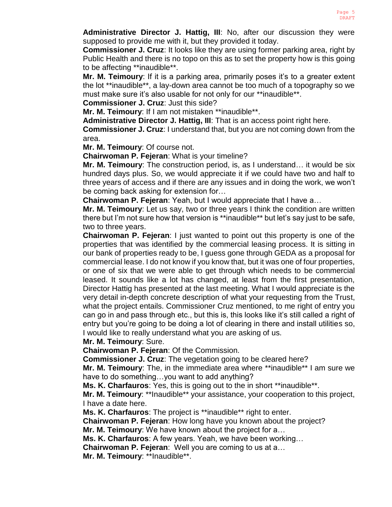**Administrative Director J. Hattig, III**: No, after our discussion they were supposed to provide me with it, but they provided it today.

**Commissioner J. Cruz**: It looks like they are using former parking area, right by Public Health and there is no topo on this as to set the property how is this going to be affecting \*\*inaudible\*\*.

**Mr. M. Teimoury**: If it is a parking area, primarily poses it's to a greater extent the lot \*\*inaudible\*\*, a lay-down area cannot be too much of a topography so we must make sure it's also usable for not only for our \*\*inaudible\*\*.

**Commissioner J. Cruz**: Just this side?

**Mr. M. Teimoury**: If I am not mistaken \*\*inaudible\*\*.

**Administrative Director J. Hattig, III**: That is an access point right here.

**Commissioner J. Cruz**: I understand that, but you are not coming down from the area.

**Mr. M. Teimoury**: Of course not.

**Chairwoman P. Fejeran**: What is your timeline?

**Mr. M. Teimoury**: The construction period, is, as I understand… it would be six hundred days plus. So, we would appreciate it if we could have two and half to three years of access and if there are any issues and in doing the work, we won't be coming back asking for extension for…

**Chairwoman P. Fejeran**: Yeah, but I would appreciate that I have a…

**Mr. M. Teimoury**: Let us say, two or three years I think the condition are written there but I'm not sure how that version is \*\*inaudible\*\* but let's say just to be safe, two to three years.

**Chairwoman P. Fejeran**: I just wanted to point out this property is one of the properties that was identified by the commercial leasing process. It is sitting in our bank of properties ready to be, I guess gone through GEDA as a proposal for commercial lease. I do not know if you know that, but it was one of four properties, or one of six that we were able to get through which needs to be commercial leased. It sounds like a lot has changed, at least from the first presentation, Director Hattig has presented at the last meeting. What I would appreciate is the very detail in-depth concrete description of what your requesting from the Trust, what the project entails. Commissioner Cruz mentioned, to me right of entry you can go in and pass through etc., but this is, this looks like it's still called a right of entry but you're going to be doing a lot of clearing in there and install utilities so, I would like to really understand what you are asking of us.

# **Mr. M. Teimoury**: Sure.

**Chairwoman P. Fejeran**: Of the Commission.

**Commissioner J. Cruz**: The vegetation going to be cleared here?

**Mr. M. Teimoury**: The, in the immediate area where \*\*inaudible\*\* I am sure we have to do something…you want to add anything?

**Ms. K. Charfauros**: Yes, this is going out to the in short \*\*inaudible\*\*.

**Mr. M. Teimoury**: \*\*Inaudible\*\* your assistance, your cooperation to this project, I have a date here.

**Ms. K. Charfauros**: The project is \*\*inaudible\*\* right to enter.

**Chairwoman P. Fejeran**: How long have you known about the project?

**Mr. M. Teimoury**: We have known about the project for a…

**Ms. K. Charfauros**: A few years. Yeah, we have been working…

**Chairwoman P. Fejeran**: Well you are coming to us at a…

**Mr. M. Teimoury**: \*\*Inaudible\*\*.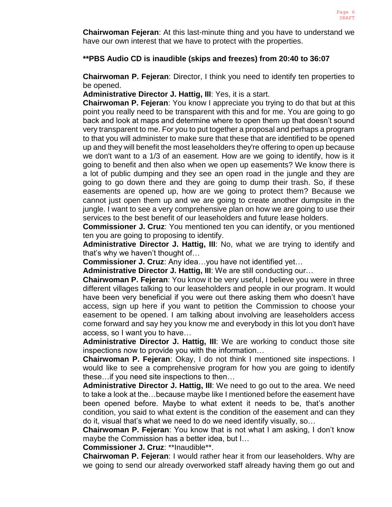**Chairwoman Fejeran**: At this last-minute thing and you have to understand we have our own interest that we have to protect with the properties.

## **\*\*PBS Audio CD is inaudible (skips and freezes) from 20:40 to 36:07**

**Chairwoman P. Fejeran**: Director, I think you need to identify ten properties to be opened.

**Administrative Director J. Hattig, III**: Yes, it is a start.

**Chairwoman P. Fejeran**: You know I appreciate you trying to do that but at this point you really need to be transparent with this and for me. You are going to go back and look at maps and determine where to open them up that doesn't sound very transparent to me. For you to put together a proposal and perhaps a program to that you will administer to make sure that these that are identified to be opened up and they will benefit the most leaseholders they're offering to open up because we don't want to a 1/3 of an easement. How are we going to identify, how is it going to benefit and then also when we open up easements? We know there is a lot of public dumping and they see an open road in the jungle and they are going to go down there and they are going to dump their trash. So, if these easements are opened up, how are we going to protect them? Because we cannot just open them up and we are going to create another dumpsite in the jungle. I want to see a very comprehensive plan on how we are going to use their services to the best benefit of our leaseholders and future lease holders.

**Commissioner J. Cruz**: You mentioned ten you can identify, or you mentioned ten you are going to proposing to identify.

**Administrative Director J. Hattig, III**: No, what we are trying to identify and that's why we haven't thought of…

**Commissioner J. Cruz**: Any idea…you have not identified yet…

**Administrative Director J. Hattig, III**: We are still conducting our…

**Chairwoman P. Fejeran**: You know it be very useful, I believe you were in three different villages talking to our leaseholders and people in our program. It would have been very beneficial if you were out there asking them who doesn't have access, sign up here if you want to petition the Commission to choose your easement to be opened. I am talking about involving are leaseholders access come forward and say hey you know me and everybody in this lot you don't have access, so I want you to have…

**Administrative Director J. Hattig, III**: We are working to conduct those site inspections now to provide you with the information…

**Chairwoman P. Fejeran**: Okay, I do not think I mentioned site inspections. I would like to see a comprehensive program for how you are going to identify these…if you need site inspections to then…

**Administrative Director J. Hattig, III**: We need to go out to the area. We need to take a look at the…because maybe like I mentioned before the easement have been opened before. Maybe to what extent it needs to be, that's another condition, you said to what extent is the condition of the easement and can they do it, visual that's what we need to do we need identify visually, so…

**Chairwoman P. Fejeran**: You know that is not what I am asking, I don't know maybe the Commission has a better idea, but I…

**Commissioner J. Cruz**: \*\*Inaudible\*\*.

**Chairwoman P. Fejeran**: I would rather hear it from our leaseholders. Why are we going to send our already overworked staff already having them go out and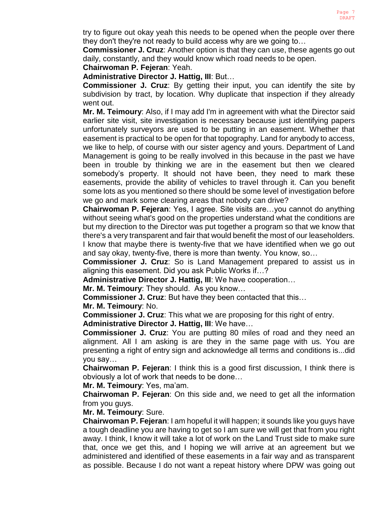try to figure out okay yeah this needs to be opened when the people over there they don't they're not ready to build access why are we going to…

**Commissioner J. Cruz**: Another option is that they can use, these agents go out daily, constantly, and they would know which road needs to be open.

## **Chairwoman P. Fejeran**: Yeah.

**Administrative Director J. Hattig, III**: But…

**Commissioner J. Cruz**: By getting their input, you can identify the site by subdivision by tract, by location. Why duplicate that inspection if they already went out.

**Mr. M. Teimoury**: Also, if I may add I'm in agreement with what the Director said earlier site visit, site investigation is necessary because just identifying papers unfortunately surveyors are used to be putting in an easement. Whether that easement is practical to be open for that topography. Land for anybody to access, we like to help, of course with our sister agency and yours. Department of Land Management is going to be really involved in this because in the past we have been in trouble by thinking we are in the easement but then we cleared somebody's property. It should not have been, they need to mark these easements, provide the ability of vehicles to travel through it. Can you benefit some lots as you mentioned so there should be some level of investigation before we go and mark some clearing areas that nobody can drive?

**Chairwoman P. Fejeran**: Yes, I agree. Site visits are…you cannot do anything without seeing what's good on the properties understand what the conditions are but my direction to the Director was put together a program so that we know that there's a very transparent and fair that would benefit the most of our leaseholders. I know that maybe there is twenty-five that we have identified when we go out and say okay, twenty-five, there is more than twenty. You know, so…

**Commissioner J. Cruz**: So is Land Management prepared to assist us in aligning this easement. Did you ask Public Works if…?

**Administrative Director J. Hattig, III**: We have cooperation…

**Mr. M. Teimoury**: They should. As you know…

**Commissioner J. Cruz**: But have they been contacted that this…

**Mr. M. Teimoury**: No.

**Commissioner J. Cruz**: This what we are proposing for this right of entry.

**Administrative Director J. Hattig, III**: We have…

**Commissioner J. Cruz**: You are putting 80 miles of road and they need an alignment. All I am asking is are they in the same page with us. You are presenting a right of entry sign and acknowledge all terms and conditions is...did you say…

**Chairwoman P. Fejeran**: I think this is a good first discussion, I think there is obviously a lot of work that needs to be done…

**Mr. M. Teimoury**: Yes, ma'am.

**Chairwoman P. Fejeran**: On this side and, we need to get all the information from you guys.

**Mr. M. Teimoury**: Sure.

**Chairwoman P. Fejeran**: I am hopeful it will happen; it sounds like you guys have a tough deadline you are having to get so I am sure we will get that from you right away. I think, I know it will take a lot of work on the Land Trust side to make sure that, once we get this, and I hoping we will arrive at an agreement but we administered and identified of these easements in a fair way and as transparent as possible. Because I do not want a repeat history where DPW was going out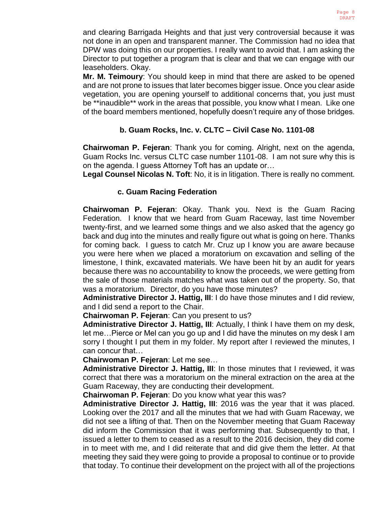and clearing Barrigada Heights and that just very controversial because it was not done in an open and transparent manner. The Commission had no idea that DPW was doing this on our properties. I really want to avoid that. I am asking the Director to put together a program that is clear and that we can engage with our leaseholders. Okay.

**Mr. M. Teimoury**: You should keep in mind that there are asked to be opened and are not prone to issues that later becomes bigger issue. Once you clear aside vegetation, you are opening yourself to additional concerns that, you just must be \*\*inaudible\*\* work in the areas that possible, you know what I mean. Like one of the board members mentioned, hopefully doesn't require any of those bridges.

# **b. Guam Rocks, Inc. v. CLTC – Civil Case No. 1101-08**

**Chairwoman P. Fejeran**: Thank you for coming. Alright, next on the agenda, Guam Rocks Inc. versus CLTC case number 1101-08. I am not sure why this is on the agenda. I guess Attorney Toft has an update or…

**Legal Counsel Nicolas N. Toft**: No, it is in litigation. There is really no comment.

# **c. Guam Racing Federation**

**Chairwoman P. Fejeran**: Okay. Thank you. Next is the Guam Racing Federation. I know that we heard from Guam Raceway, last time November twenty-first, and we learned some things and we also asked that the agency go back and dug into the minutes and really figure out what is going on here. Thanks for coming back. I guess to catch Mr. Cruz up I know you are aware because you were here when we placed a moratorium on excavation and selling of the limestone, I think, excavated materials. We have been hit by an audit for years because there was no accountability to know the proceeds, we were getting from the sale of those materials matches what was taken out of the property. So, that was a moratorium. Director, do you have those minutes?

**Administrative Director J. Hattig, III**: I do have those minutes and I did review, and I did send a report to the Chair.

**Chairwoman P. Fejeran**: Can you present to us?

**Administrative Director J. Hattig, III**: Actually, I think I have them on my desk, let me…Pierce or Mel can you go up and I did have the minutes on my desk I am sorry I thought I put them in my folder. My report after I reviewed the minutes, I can concur that…

**Chairwoman P. Fejeran**: Let me see…

**Administrative Director J. Hattig, III**: In those minutes that I reviewed, it was correct that there was a moratorium on the mineral extraction on the area at the Guam Raceway, they are conducting their development.

**Chairwoman P. Fejeran**: Do you know what year this was?

**Administrative Director J. Hattig, III**: 2016 was the year that it was placed. Looking over the 2017 and all the minutes that we had with Guam Raceway, we did not see a lifting of that. Then on the November meeting that Guam Raceway did inform the Commission that it was performing that. Subsequently to that, I issued a letter to them to ceased as a result to the 2016 decision, they did come in to meet with me, and I did reiterate that and did give them the letter. At that meeting they said they were going to provide a proposal to continue or to provide that today. To continue their development on the project with all of the projections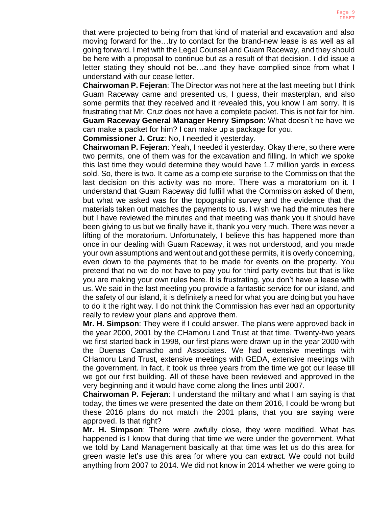that were projected to being from that kind of material and excavation and also moving forward for the…try to contact for the brand-new lease is as well as all going forward. I met with the Legal Counsel and Guam Raceway, and they should be here with a proposal to continue but as a result of that decision. I did issue a letter stating they should not be…and they have complied since from what I understand with our cease letter.

**Chairwoman P. Fejeran**: The Director was not here at the last meeting but I think Guam Raceway came and presented us, I guess, their masterplan, and also some permits that they received and it revealed this, you know I am sorry. It is frustrating that Mr. Cruz does not have a complete packet. This is not fair for him. **Guam Raceway General Manager Henry Simpson**: What doesn't he have we can make a packet for him? I can make up a package for you.

**Commissioner J. Cruz**: No, I needed it yesterday.

**Chairwoman P. Fejeran**: Yeah, I needed it yesterday. Okay there, so there were two permits, one of them was for the excavation and filling. In which we spoke this last time they would determine they would have 1.7 million yards in excess sold. So, there is two. It came as a complete surprise to the Commission that the last decision on this activity was no more. There was a moratorium on it. I understand that Guam Raceway did fulfill what the Commission asked of them, but what we asked was for the topographic survey and the evidence that the materials taken out matches the payments to us. I wish we had the minutes here but I have reviewed the minutes and that meeting was thank you it should have been giving to us but we finally have it, thank you very much. There was never a lifting of the moratorium. Unfortunately, I believe this has happened more than once in our dealing with Guam Raceway, it was not understood, and you made your own assumptions and went out and got these permits, it is overly concerning, even down to the payments that to be made for events on the property. You pretend that no we do not have to pay you for third party events but that is like you are making your own rules here. It is frustrating, you don't have a lease with us. We said in the last meeting you provide a fantastic service for our island, and the safety of our island, it is definitely a need for what you are doing but you have to do it the right way. I do not think the Commission has ever had an opportunity really to review your plans and approve them.

**Mr. H. Simpson**: They were if I could answer. The plans were approved back in the year 2000, 2001 by the CHamoru Land Trust at that time. Twenty-two years we first started back in 1998, our first plans were drawn up in the year 2000 with the Duenas Camacho and Associates. We had extensive meetings with CHamoru Land Trust, extensive meetings with GEDA, extensive meetings with the government. In fact, it took us three years from the time we got our lease till we got our first building. All of these have been reviewed and approved in the very beginning and it would have come along the lines until 2007.

**Chairwoman P. Fejeran**: I understand the military and what I am saying is that today, the times we were presented the date on them 2016, I could be wrong but these 2016 plans do not match the 2001 plans, that you are saying were approved. Is that right?

**Mr. H. Simpson**: There were awfully close, they were modified. What has happened is I know that during that time we were under the government. What we told by Land Management basically at that time was let us do this area for green waste let's use this area for where you can extract. We could not build anything from 2007 to 2014. We did not know in 2014 whether we were going to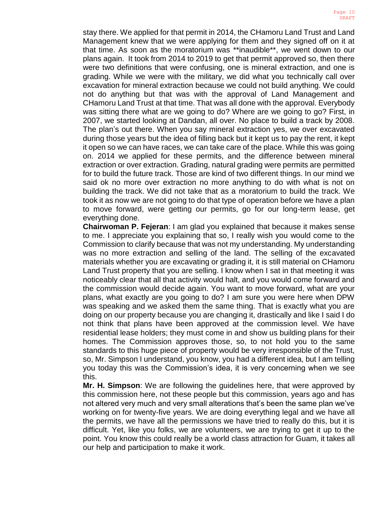stay there. We applied for that permit in 2014, the CHamoru Land Trust and Land Management knew that we were applying for them and they signed off on it at that time. As soon as the moratorium was \*\*inaudible\*\*, we went down to our plans again. It took from 2014 to 2019 to get that permit approved so, then there were two definitions that were confusing, one is mineral extraction, and one is grading. While we were with the military, we did what you technically call over excavation for mineral extraction because we could not build anything. We could not do anything but that was with the approval of Land Management and CHamoru Land Trust at that time. That was all done with the approval. Everybody was sitting there what are we going to do? Where are we going to go? First, in 2007, we started looking at Dandan, all over. No place to build a track by 2008. The plan's out there. When you say mineral extraction yes, we over excavated during those years but the idea of filling back but it kept us to pay the rent, it kept it open so we can have races, we can take care of the place. While this was going on. 2014 we applied for these permits, and the difference between mineral extraction or over extraction. Grading, natural grading were permits are permitted for to build the future track. Those are kind of two different things. In our mind we said ok no more over extraction no more anything to do with what is not on building the track. We did not take that as a moratorium to build the track. We took it as now we are not going to do that type of operation before we have a plan to move forward, were getting our permits, go for our long-term lease, get everything done.

**Chairwoman P. Fejeran**: I am glad you explained that because it makes sense to me. I appreciate you explaining that so, I really wish you would come to the Commission to clarify because that was not my understanding. My understanding was no more extraction and selling of the land. The selling of the excavated materials whether you are excavating or grading it, it is still material on CHamoru Land Trust property that you are selling. I know when I sat in that meeting it was noticeably clear that all that activity would halt, and you would come forward and the commission would decide again. You want to move forward, what are your plans, what exactly are you going to do? I am sure you were here when DPW was speaking and we asked them the same thing. That is exactly what you are doing on our property because you are changing it, drastically and like I said I do not think that plans have been approved at the commission level. We have residential lease holders; they must come in and show us building plans for their homes. The Commission approves those, so, to not hold you to the same standards to this huge piece of property would be very irresponsible of the Trust, so, Mr. Simpson I understand, you know, you had a different idea, but I am telling you today this was the Commission's idea, it is very concerning when we see this.

**Mr. H. Simpson**: We are following the guidelines here, that were approved by this commission here, not these people but this commission, years ago and has not altered very much and very small alterations that's been the same plan we've working on for twenty-five years. We are doing everything legal and we have all the permits, we have all the permissions we have tried to really do this, but it is difficult. Yet, like you folks, we are volunteers, we are trying to get it up to the point. You know this could really be a world class attraction for Guam, it takes all our help and participation to make it work.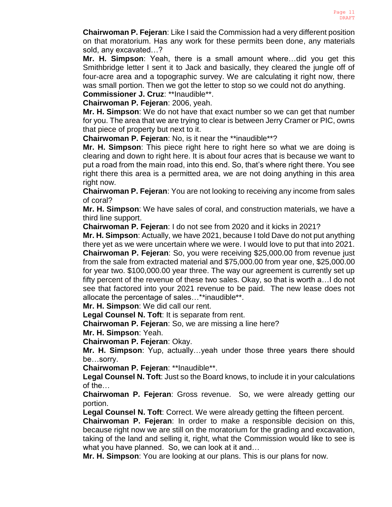**Chairwoman P. Fejeran**: Like I said the Commission had a very different position on that moratorium. Has any work for these permits been done, any materials sold, any excavated…?

**Mr. H. Simpson**: Yeah, there is a small amount where…did you get this Smithbridge letter I sent it to Jack and basically, they cleared the jungle off of four-acre area and a topographic survey. We are calculating it right now, there was small portion. Then we got the letter to stop so we could not do anything.

**Commissioner J. Cruz**: \*\*Inaudible\*\*. **Chairwoman P. Fejeran**: 2006, yeah.

**Mr. H. Simpson**: We do not have that exact number so we can get that number for you. The area that we are trying to clear is between Jerry Cramer or PIC, owns that piece of property but next to it.

**Chairwoman P. Fejeran**: No, is it near the \*\*inaudible\*\*?

**Mr. H. Simpson**: This piece right here to right here so what we are doing is clearing and down to right here. It is about four acres that is because we want to put a road from the main road, into this end. So, that's where right there. You see right there this area is a permitted area, we are not doing anything in this area right now.

**Chairwoman P. Fejeran**: You are not looking to receiving any income from sales of coral?

**Mr. H. Simpson**: We have sales of coral, and construction materials, we have a third line support.

**Chairwoman P. Fejeran**: I do not see from 2020 and it kicks in 2021?

**Mr. H. Simpson**: Actually, we have 2021, because I told Dave do not put anything there yet as we were uncertain where we were. I would love to put that into 2021.

**Chairwoman P. Fejeran**: So, you were receiving \$25,000.00 from revenue just from the sale from extracted material and \$75,000.00 from year one, \$25,000.00 for year two. \$100,000.00 year three. The way our agreement is currently set up fifty percent of the revenue of these two sales. Okay, so that is worth a…I do not see that factored into your 2021 revenue to be paid. The new lease does not allocate the percentage of sales…\*\*inaudible\*\*.

**Mr. H. Simpson**: We did call our rent.

**Legal Counsel N. Toft**: It is separate from rent.

**Chairwoman P. Fejeran**: So, we are missing a line here?

**Mr. H. Simpson**: Yeah.

**Chairwoman P. Fejeran**: Okay.

**Mr. H. Simpson**: Yup, actually…yeah under those three years there should be…sorry.

**Chairwoman P. Fejeran**: \*\*Inaudible\*\*.

**Legal Counsel N. Toft**: Just so the Board knows, to include it in your calculations of the…

**Chairwoman P. Fejeran**: Gross revenue. So, we were already getting our portion.

**Legal Counsel N. Toft**: Correct. We were already getting the fifteen percent.

**Chairwoman P. Fejeran**: In order to make a responsible decision on this, because right now we are still on the moratorium for the grading and excavation, taking of the land and selling it, right, what the Commission would like to see is what you have planned. So, we can look at it and…

**Mr. H. Simpson**: You are looking at our plans. This is our plans for now.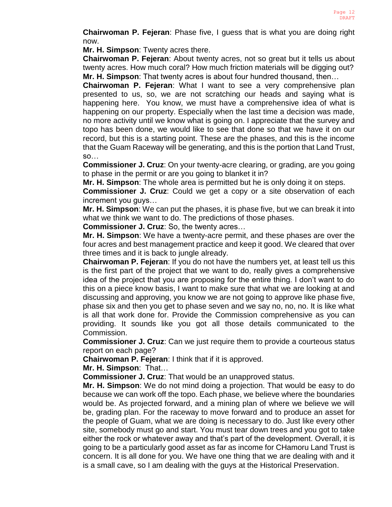**Chairwoman P. Fejeran**: Phase five, I guess that is what you are doing right now.

**Mr. H. Simpson**: Twenty acres there.

**Chairwoman P. Fejeran**: About twenty acres, not so great but it tells us about twenty acres. How much coral? How much friction materials will be digging out? **Mr. H. Simpson**: That twenty acres is about four hundred thousand, then…

**Chairwoman P. Fejeran**: What I want to see a very comprehensive plan presented to us, so, we are not scratching our heads and saying what is happening here. You know, we must have a comprehensive idea of what is happening on our property. Especially when the last time a decision was made, no more activity until we know what is going on. I appreciate that the survey and topo has been done, we would like to see that done so that we have it on our record, but this is a starting point. These are the phases, and this is the income that the Guam Raceway will be generating, and this is the portion that Land Trust, so…

**Commissioner J. Cruz**: On your twenty-acre clearing, or grading, are you going to phase in the permit or are you going to blanket it in?

**Mr. H. Simpson**: The whole area is permitted but he is only doing it on steps.

**Commissioner J. Cruz**: Could we get a copy or a site observation of each increment you guys…

**Mr. H. Simpson**: We can put the phases, it is phase five, but we can break it into what we think we want to do. The predictions of those phases.

**Commissioner J. Cruz**: So, the twenty acres…

**Mr. H. Simpson**: We have a twenty-acre permit, and these phases are over the four acres and best management practice and keep it good. We cleared that over three times and it is back to jungle already.

**Chairwoman P. Fejeran**: If you do not have the numbers yet, at least tell us this is the first part of the project that we want to do, really gives a comprehensive idea of the project that you are proposing for the entire thing. I don't want to do this on a piece know basis, I want to make sure that what we are looking at and discussing and approving, you know we are not going to approve like phase five, phase six and then you get to phase seven and we say no, no, no. It is like what is all that work done for. Provide the Commission comprehensive as you can providing. It sounds like you got all those details communicated to the Commission.

**Commissioner J. Cruz**: Can we just require them to provide a courteous status report on each page?

**Chairwoman P. Fejeran**: I think that if it is approved.

**Mr. H. Simpson**: That…

**Commissioner J. Cruz**: That would be an unapproved status.

**Mr. H. Simpson**: We do not mind doing a projection. That would be easy to do because we can work off the topo. Each phase, we believe where the boundaries would be. As projected forward, and a mining plan of where we believe we will be, grading plan. For the raceway to move forward and to produce an asset for the people of Guam, what we are doing is necessary to do. Just like every other site, somebody must go and start. You must tear down trees and you got to take either the rock or whatever away and that's part of the development. Overall, it is going to be a particularly good asset as far as income for CHamoru Land Trust is concern. It is all done for you. We have one thing that we are dealing with and it is a small cave, so I am dealing with the guys at the Historical Preservation.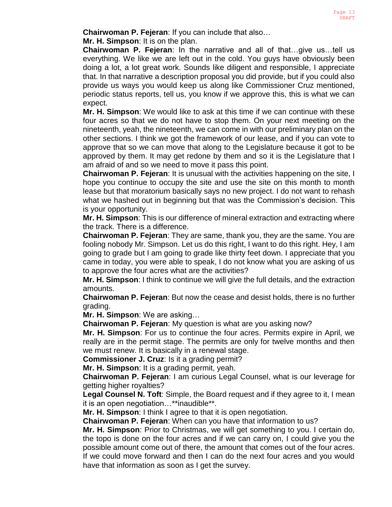**Chairwoman P. Fejeran**: If you can include that also…

**Mr. H. Simpson**: It is on the plan.

**Chairwoman P. Fejeran**: In the narrative and all of that…give us…tell us everything. We like we are left out in the cold. You guys have obviously been doing a lot, a lot great work. Sounds like diligent and responsible, I appreciate that. In that narrative a description proposal you did provide, but if you could also provide us ways you would keep us along like Commissioner Cruz mentioned, periodic status reports, tell us, you know if we approve this, this is what we can expect.

**Mr. H. Simpson**: We would like to ask at this time if we can continue with these four acres so that we do not have to stop them. On your next meeting on the nineteenth, yeah, the nineteenth, we can come in with our preliminary plan on the other sections. I think we got the framework of our lease, and if you can vote to approve that so we can move that along to the Legislature because it got to be approved by them. It may get redone by them and so it is the Legislature that I am afraid of and so we need to move it pass this point.

**Chairwoman P. Fejeran**: It is unusual with the activities happening on the site, I hope you continue to occupy the site and use the site on this month to month lease but that moratorium basically says no new project. I do not want to rehash what we hashed out in beginning but that was the Commission's decision. This is your opportunity.

**Mr. H. Simpson**: This is our difference of mineral extraction and extracting where the track. There is a difference.

**Chairwoman P. Fejeran**: They are same, thank you, they are the same. You are fooling nobody Mr. Simpson. Let us do this right, I want to do this right. Hey, I am going to grade but I am going to grade like thirty feet down. I appreciate that you came in today, you were able to speak, I do not know what you are asking of us to approve the four acres what are the activities?

**Mr. H. Simpson**: I think to continue we will give the full details, and the extraction amounts.

**Chairwoman P. Fejeran**: But now the cease and desist holds, there is no further grading.

**Mr. H. Simpson**: We are asking…

**Chairwoman P. Fejeran**: My question is what are you asking now?

**Mr. H. Simpson**: For us to continue the four acres. Permits expire in April, we really are in the permit stage. The permits are only for twelve months and then we must renew. It is basically in a renewal stage.

**Commissioner J. Cruz**: Is it a grading permit?

**Mr. H. Simpson**: It is a grading permit, yeah.

**Chairwoman P. Fejeran**: I am curious Legal Counsel, what is our leverage for getting higher royalties?

**Legal Counsel N. Toft**: Simple, the Board request and if they agree to it, I mean it is an open negotiation…\*\*inaudible\*\*.

**Mr. H. Simpson**: I think I agree to that it is open negotiation.

**Chairwoman P. Fejeran**: When can you have that information to us?

**Mr. H. Simpson**: Prior to Christmas, we will get something to you. I certain do, the topo is done on the four acres and if we can carry on, I could give you the possible amount come out of there, the amount that comes out of the four acres. If we could move forward and then I can do the next four acres and you would have that information as soon as I get the survey.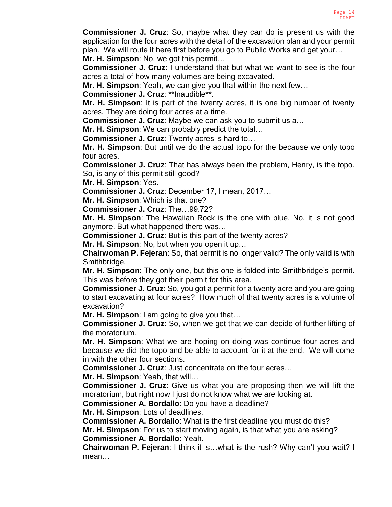**Commissioner J. Cruz**: So, maybe what they can do is present us with the application for the four acres with the detail of the excavation plan and your permit plan. We will route it here first before you go to Public Works and get your…

**Mr. H. Simpson**: No, we got this permit…

**Commissioner J. Cruz**: I understand that but what we want to see is the four acres a total of how many volumes are being excavated.

**Mr. H. Simpson**: Yeah, we can give you that within the next few…

**Commissioner J. Cruz**: \*\*Inaudible\*\*.

**Mr. H. Simpson**: It is part of the twenty acres, it is one big number of twenty acres. They are doing four acres at a time.

**Commissioner J. Cruz**: Maybe we can ask you to submit us a…

**Mr. H. Simpson**: We can probably predict the total…

**Commissioner J. Cruz**: Twenty acres is hard to…

**Mr. H. Simpson**: But until we do the actual topo for the because we only topo four acres.

**Commissioner J. Cruz**: That has always been the problem, Henry, is the topo. So, is any of this permit still good?

**Mr. H. Simpson**: Yes.

**Commissioner J. Cruz**: December 17, I mean, 2017…

**Mr. H. Simpson**: Which is that one?

**Commissioner J. Cruz**: The…99.72?

**Mr. H. Simpson**: The Hawaiian Rock is the one with blue. No, it is not good anymore. But what happened there was…

**Commissioner J. Cruz**: But is this part of the twenty acres?

**Mr. H. Simpson**: No, but when you open it up…

**Chairwoman P. Fejeran**: So, that permit is no longer valid? The only valid is with Smithbridge.

**Mr. H. Simpson**: The only one, but this one is folded into Smithbridge's permit. This was before they got their permit for this area.

**Commissioner J. Cruz**: So, you got a permit for a twenty acre and you are going to start excavating at four acres? How much of that twenty acres is a volume of excavation?

**Mr. H. Simpson**: I am going to give you that…

**Commissioner J. Cruz**: So, when we get that we can decide of further lifting of the moratorium.

**Mr. H. Simpson**: What we are hoping on doing was continue four acres and because we did the topo and be able to account for it at the end. We will come in with the other four sections.

**Commissioner J. Cruz**: Just concentrate on the four acres…

**Mr. H. Simpson**: Yeah, that will…

**Commissioner J. Cruz**: Give us what you are proposing then we will lift the moratorium, but right now I just do not know what we are looking at.

**Commissioner A. Bordallo**: Do you have a deadline?

**Mr. H. Simpson**: Lots of deadlines.

**Commissioner A. Bordallo**: What is the first deadline you must do this? **Mr. H. Simpson**: For us to start moving again, is that what you are asking? **Commissioner A. Bordallo**: Yeah.

**Chairwoman P. Fejeran**: I think it is…what is the rush? Why can't you wait? I mean…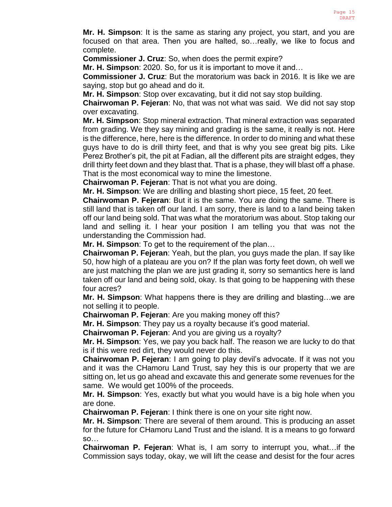**Mr. H. Simpson**: It is the same as staring any project, you start, and you are focused on that area. Then you are halted, so…really, we like to focus and complete.

**Commissioner J. Cruz**: So, when does the permit expire?

**Mr. H. Simpson**: 2020. So, for us it is important to move it and…

**Commissioner J. Cruz**: But the moratorium was back in 2016. It is like we are saying, stop but go ahead and do it.

**Mr. H. Simpson**: Stop over excavating, but it did not say stop building.

**Chairwoman P. Fejeran**: No, that was not what was said. We did not say stop over excavating.

**Mr. H. Simpson**: Stop mineral extraction. That mineral extraction was separated from grading. We they say mining and grading is the same, it really is not. Here is the difference, here, here is the difference. In order to do mining and what these guys have to do is drill thirty feet, and that is why you see great big pits. Like Perez Brother's pit, the pit at Fadian, all the different pits are straight edges, they drill thirty feet down and they blast that. That is a phase, they will blast off a phase. That is the most economical way to mine the limestone.

**Chairwoman P. Fejeran**: That is not what you are doing.

**Mr. H. Simpson**: We are drilling and blasting short piece, 15 feet, 20 feet.

**Chairwoman P. Fejeran**: But it is the same. You are doing the same. There is still land that is taken off our land. I am sorry, there is land to a land being taken off our land being sold. That was what the moratorium was about. Stop taking our land and selling it. I hear your position I am telling you that was not the understanding the Commission had.

**Mr. H. Simpson**: To get to the requirement of the plan…

**Chairwoman P. Fejeran**: Yeah, but the plan, you guys made the plan. If say like 50, how high of a plateau are you on? If the plan was forty feet down, oh well we are just matching the plan we are just grading it, sorry so semantics here is land taken off our land and being sold, okay. Is that going to be happening with these four acres?

**Mr. H. Simpson**: What happens there is they are drilling and blasting…we are not selling it to people.

**Chairwoman P. Fejeran**: Are you making money off this?

**Mr. H. Simpson**: They pay us a royalty because it's good material.

**Chairwoman P. Fejeran**: And you are giving us a royalty?

**Mr. H. Simpson**: Yes, we pay you back half. The reason we are lucky to do that is if this were red dirt, they would never do this.

**Chairwoman P. Fejeran**: I am going to play devil's advocate. If it was not you and it was the CHamoru Land Trust, say hey this is our property that we are sitting on, let us go ahead and excavate this and generate some revenues for the same. We would get 100% of the proceeds.

**Mr. H. Simpson**: Yes, exactly but what you would have is a big hole when you are done.

**Chairwoman P. Fejeran**: I think there is one on your site right now.

**Mr. H. Simpson**: There are several of them around. This is producing an asset for the future for CHamoru Land Trust and the island. It is a means to go forward so…

**Chairwoman P. Fejeran**: What is, I am sorry to interrupt you, what…if the Commission says today, okay, we will lift the cease and desist for the four acres